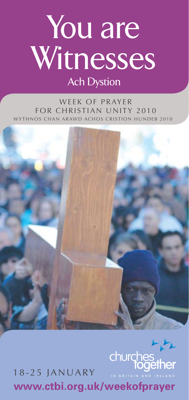# You are Witnesses

## **Ach Dystion**

WEEK OF PRAYER for Christian Unity 2010 YTHNOS CHAN ARAWD ACHOS CRISTION HUNDEB 2010



**www.ctbi.org.uk/weekofprayer** 18-25 January

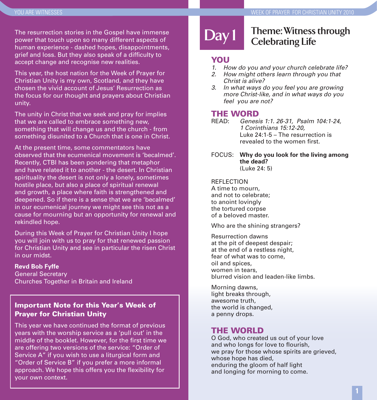The resurrection stories in the Gospel have immense power that touch upon so many different aspects of human experience - dashed hopes, disappointments, grief and loss. But they also speak of a difficulty to accept change and recognise new realities.

This year, the host nation for the Week of Prayer for Christian Unity is my own, Scotland, and they have chosen the vivid account of Jesus' Resurrection as the focus for our thought and prayers about Christian unity.

The unity in Christ that we seek and pray for implies that we are called to embrace something new, something that will change us and the church - from something disunited to a Church that is one in Christ.

At the present time, some commentators have observed that the ecumenical movement is 'becalmed'. Recently, CTBI has been pondering that metaphor and have related it to another - the desert. In Christian spirituality the desert is not only a lonely, sometimes hostile place, but also a place of spiritual renewal and growth, a place where faith is strengthened and deepened. So if there is a sense that we are 'becalmed' in our ecumenical journey we might see this not as a cause for mourning but an opportunity for renewal and rekindled hope.

During this Week of Prayer for Christian Unity I hope you will join with us to pray for that renewed passion for Christian Unity and see in particular the risen Christ in our midst.

#### **Revd Bob Fyffe**

General Secretary Churches Together in Britain and Ireland

#### Important Note for this Year's Week of Prayer for Christian Unity

This year we have continued the format of previous years with the worship service as a 'pull out' in the middle of the booklet. However, for the first time we are offering two versions of the service: "Order of Service A" if you wish to use a liturgical form and "Order of Service B" if you prefer a more informal approach. We hope this offers you the flexibility for your own context.

## **Day 1**

#### **Theme: Witness through Celebrating Life**

#### **YOU**

- *1. How do you and your church celebrate life?*
- *2. How might others learn through you that Christ is alive?*
- *3. In what ways do you feel you are growing more Christ-like, and in what ways do you feel you are not?*

## **THE WORD**<br>READ: Genesi

- READ: *Genesis 1:1. 26-31, Psalm 104:1-24, 1 Corinthians 15:12-20,* Luke 24:1-5 – The resurrection is revealed to the women first.
- FOCUS: **Why do you look for the living among the dead?**  $(l$ uke  $24:5)$

#### REFLECTION

A time to mourn, and not to celebrate; to anoint lovingly the tortured corpse of a beloved master.

Who are the shining strangers?

Resurrection dawns at the pit of deepest despair; at the end of a restless night, fear of what was to come, oil and spices, women in tears, blurred vision and leaden-like limbs.

Morning dawns, light breaks through, awesome truth, the world is changed, a penny drops.

#### THE WORLD

O God, who created us out of your love and who longs for love to flourish, we pray for those whose spirits are grieved, whose hope has died. enduring the gloom of half light and longing for morning to come.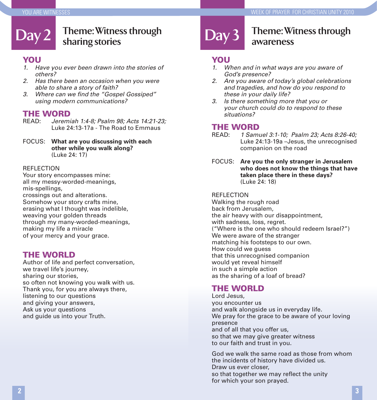#### Day 2 **Theme: Witness through** Day 3 **sharing stories**

#### **YOU**

- *1. Have you ever been drawn into the stories of others?*
- *2. Has there been an occasion when you were able to share a story of faith?*
- *3. Where can we find the "Gospel Gossiped" using modern communications?*

## **THE WORD**<br>READ: Jeremi

- READ: *Jeremiah 1:4-8; Psalm 98; Acts 14:21-23;* Luke 24:13-17a - The Road to Emmaus
- FOCUS: **What are you discussing with each other while you walk along?** (Luke 24: 17)

#### REFLECTION

Your story encompasses mine: all my messy-worded-meanings, mis-spellings, crossings out and alterations. Somehow your story crafts mine, erasing what I thought was indelible, weaving your golden threads through my many-worded-meanings, making my life a miracle of your mercy and your grace.

#### THE WORLD

Author of life and perfect conversation, we travel life's journey, sharing our stories, so often not knowing you walk with us. Thank you, for you are always there, listening to our questions and giving your answers, Ask us your questions and guide us into your Truth.

#### **Theme: Witness through awareness**

#### **YOU**

- *1. When and in what ways are you aware of God's presence?*
- *2. Are you aware of today's global celebrations and tragedies, and how do you respond to these in your daily life?*
- *3. Is there something more that you or your church could do to respond to these situations?*

## **THE WORD**<br>READ: 1 Sami

- READ: *1 Samuel 3:1-10; Psalm 23; Acts 8:26-40;* Luke 24:13-19a –Jesus, the unrecognised companion on the road
- FOCUS: **Are you the only stranger in Jerusalem who does not know the things that have taken place there in these days?**  (Luke 24: 18)

#### REFLECTION

Walking the rough road back from Jerusalem, the air heavy with our disappointment, with sadness, loss, regret. ("Where is the one who should redeem Israel?") We were aware of the stranger matching his footsteps to our own. How could we guess that this unrecognised companion would yet reveal himself in such a simple action as the sharing of a loaf of bread?

#### THE WORLD

Lord Jesus, you encounter us and walk alongside us in everyday life. We pray for the grace to be aware of your loving presence and of all that you offer us, so that we may give greater witness to our faith and trust in you.

God we walk the same road as those from whom the incidents of history have divided us. Draw us ever closer, so that together we may reflect the unity for which your son prayed.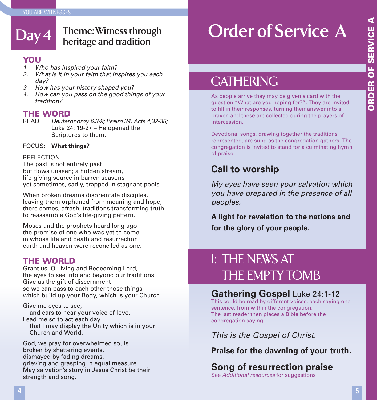# **Day 4**

#### **Theme: Witness through heritage and tradition**

#### **YOU**

- *1. Who has inspired your faith?*
- *2. What is it in your faith that inspires you each day?*
- *3. How has your history shaped you?*
- *4. How can you pass on the good things of your tradition?*

## **THE WORD**<br>**READ**: Deuter

READ: *Deuteronomy 6.3-9; Psalm 34; Acts 4,32-35;* Luke 24: 19-27 – He opened the Scriptures to them.

#### FOCUS: **What things?**

#### REFLECTION

The past is not entirely past but flows unseen; a hidden stream, life-giving source in barren seasons yet sometimes, sadly, trapped in stagnant pools.

When broken dreams disorientate disciples, leaving them orphaned from meaning and hope, there comes, afresh, traditions transforming truth to reassemble God's life-giving pattern.

Moses and the prophets heard long ago the promise of one who was yet to come, in whose life and death and resurrection earth and heaven were reconciled as one.

#### THE WORLD

Grant us, O Living and Redeeming Lord, the eyes to see into and beyond our traditions. Give us the gift of discernment so we can pass to each other those things which build up your Body, which is your Church.

Give me eyes to see, and ears to hear your voice of love. Lead me so to act each day that I may display the Unity which is in your Church and World.

God, we pray for overwhelmed souls broken by shattering events, dismayed by fading dreams, grieving and grasping in equal measure. May salvation's story in Jesus Christ be their strength and song.

# **Order of Service A**

## **GATHERING**

As people arrive they may be given a card with the question "What are you hoping for?". They are invited to fill in their responses, turning their answer into a prayer, and these are collected during the prayers of intercession.

Devotional songs, drawing together the traditions represented, are sung as the congregation gathers. The congregation is invited to stand for a culminating hymn of praise

## **Call to worship**

*My eyes have seen your salvation which you have prepared in the presence of all peoples.*

**A light for revelation to the nations and for the glory of your people.**

## I: THE NEWS AT THE EMPTY TOMB

#### **Gathering Gospel** Luke 24:1-12

This could be read by different voices, each saying one sentence, from within the congregation. The last reader then places a Bible before the congregation saying

*This is the Gospel of Christ.*

#### **Praise for the dawning of your truth.**

## **Song of resurrection praise**

See *Additional resources* for suggestions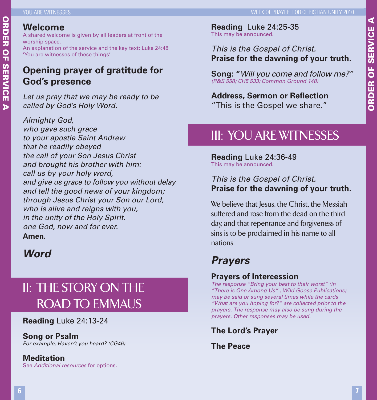# **ORDER OF SERVICE A** ORDER OF SERVICE A

#### **Welcome**

A shared welcome is given by all leaders at front of the worship space.

An explanation of the service and the key text: Luke 24:48 'You are witnesses of these things'

#### **Opening prayer of gratitude for God's presence**

*Let us pray that we may be ready to be called by God's Holy Word.* 

*Almighty God, who gave such grace to your apostle Saint Andrew that he readily obeyed the call of your Son Jesus Christ and brought his brother with him: call us by your holy word, and give us grace to follow you without delay and tell the good news of your kingdom; through Jesus Christ your Son our Lord, who is alive and reigns with you, in the unity of the Holy Spirit. one God, now and for ever.*  **Amen.**

## *Word*

## II: THE STORY ON THE ROAD TO EMMAUS

**Reading** Luke 24:13-24

#### **Song or Psalm**

*For example, Haven't you heard? (CG46)*

#### **Meditation**

See *Additional resources* for options.

**Reading** Luke 24:25-35 This may be announced.

#### *This is the Gospel of Christ.* **Praise for the dawning of your truth.**

**Song: "***Will you come and follow me?" (R&S 558; CH5 533; Common Ground 148)*

**Address, Sermon or Reflection** "This is the Gospel we share."

## III: YOU ARE WITNESSES

**Reading** Luke 24:36-49 This may be announced.

#### *This is the Gospel of Christ.* **Praise for the dawning of your truth.**

We believe that Jesus, the Christ, the Messiah suffered and rose from the dead on the third day, and that repentance and forgiveness of sins is to be proclaimed in his name to all nations.

## *Prayers*

#### **Prayers of Intercession**

*The response "Bring your best to their worst" (in "There is One Among Us" , Wild Goose Publications) may be said or sung several times while the cards "What are you hoping for?" are collected prior to the prayers. The response may also be sung during the prayers. Other responses may be used.*

**The Lord's Prayer**

**The Peace**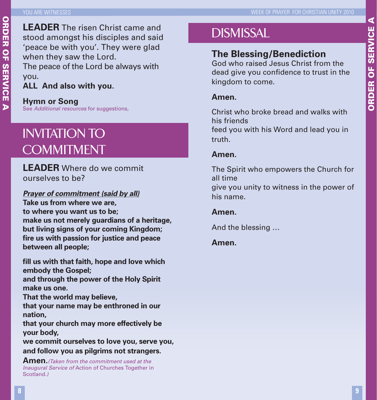**LEADER** The risen Christ came and stood amongst his disciples and said 'peace be with you'. They were glad when they saw the Lord. The peace of the Lord be always with you. **ALL And also with you.**

#### **Hymn or Song**

See *Additional resources* for suggestions,

## Invitation to **COMMITMENT**

#### **LEADER** Where do we commit ourselves to be?

#### *Prayer of commitment (said by all)*

**Take us from where we are, to where you want us to be; make us not merely guardians of a heritage, but living signs of your coming Kingdom; fire us with passion for justice and peace between all people;**

**fill us with that faith, hope and love which embody the Gospel;**

**and through the power of the Holy Spirit make us one.**

**That the world may believe,** 

**that your name may be enthroned in our nation,**

**that your church may more effectively be your body,** 

**we commit ourselves to love you, serve you, and follow you as pilgrims not strangers.**

**Amen.***(Taken from the commitment used at the Inaugural Service of* Action of Churches Together in Scotland*.)*

## **DISMISSAL**

#### **The Blessing/Benediction**

God who raised Jesus Christ from the dead give you confidence to trust in the kingdom to come.

#### **Amen.**

Christ who broke bread and walks with his friends feed you with his Word and lead you in truth.

#### **Amen.**

The Spirit who empowers the Church for all time give you unity to witness in the power of his name.

#### **Amen.**

And the blessing …

#### **Amen.**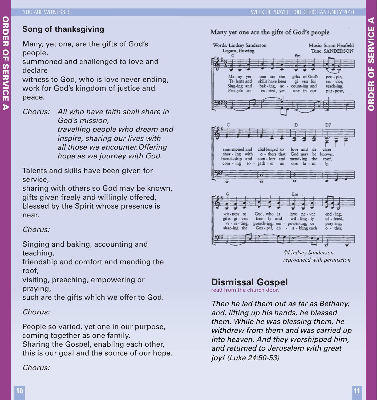# ORDER OF SERVICE ORDER OF SERVICE A  $\overline{p}$

**Song of thanksgiving**

Many, yet one, are the gifts of God's people,

summoned and challenged to love and declare

witness to God, who is love never ending, work for God's kingdom of justice and peace.

*Chorus: All who have faith shall share in God's mission, travelling people who dream and inspire, sharing our lives with all those we encounter.Offering hope as we journey with God.* 

Talents and skills have been given for service,

sharing with others so God may be known, gifts given freely and willingly offered, blessed by the Spirit whose presence is near.

#### *Chorus:*

Singing and baking, accounting and teaching,

friendship and comfort and mending the roof,

visiting, preaching, empowering or praying,

such are the gifts which we offer to God.

#### *Chorus:*

People so varied, yet one in our purpose, coming together as one family. Sharing the Gospel, enabling each other, this is our goal and the source of our hope.

#### *Chorus:*





*©Lindsey Sanderson reproduced with permission*

## **Dismissal Gospel**

read from the church door.

*Then he led them out as far as Bethany, and, lifting up his hands, he blessed them. While he was blessing them, he withdrew from them and was carried up into heaven. And they worshipped him, and returned to Jerusalem with great joy! (Luke 24:50-53)*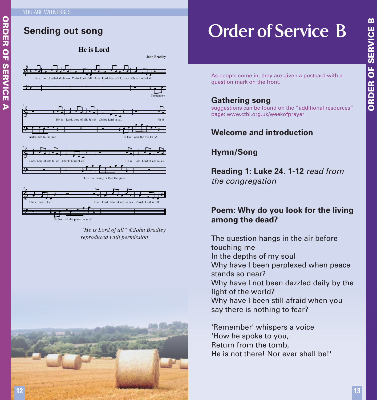#### **Sending out song**



*"He is Lord of all" ©John Bradley reproduced with permission*



## **Order of Service B**

As people come in, they are given a postcard with a question mark on the front.

#### **Gathering song**

suggestions can be found on the "additional resources" page: www.ctbi.org.uk/weekofprayer

#### **Welcome and introduction**

#### **Hymn/Song**

**Reading 1: Luke 24. 1-12** *read from the congregation*

#### **Poem: Why do you look for the living among the dead?**

The question hangs in the air before touching me In the depths of my soul Why have I been perplexed when peace stands so near? Why have I not been dazzled daily by the light of the world? Why have I been still afraid when you say there is nothing to fear?

'Remember' whispers a voice 'How he spoke to you, Return from the tomb, He is not there! Nor ever shall be!' ORDER OF SERVICE B

**ORDER OF SERVICE**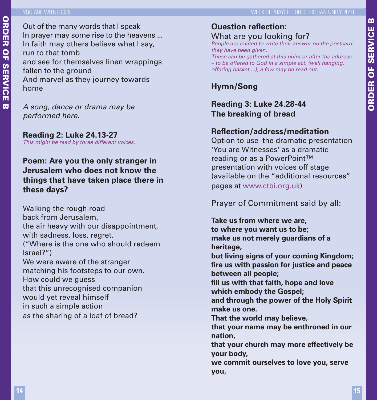#### YOU ARE WITNESSES

ORDER OF SERVICE B

**ORDER OF SERVICE** 

 $\mathbf{m}$ 

Out of the many words that I speak In prayer may some rise to the heavens ... In faith may others believe what I say, run to that tomb and see for themselves linen wrappings fallen to the ground And marvel as they journey towards home

*A song, dance or drama may be performed here.*

**Reading 2: Luke 24.13-27** *This might be read by three different voices.*

#### **Poem: Are you the only stranger in Jerusalem who does not know the things that have taken place there in these days?**

Walking the rough road back from Jerusalem, the air heavy with our disappointment, with sadness, loss, regret. ("Where is the one who should redeem Israel?") We were aware of the stranger matching his footsteps to our own. How could we guess that this unrecognised companion would yet reveal himself in such a simple action as the sharing of a loaf of bread?

## **Question reflection:**

What are you looking for? *People are invited to write their answer on the postcard they have been given.*

*These can be gathered at this point or after the address – to be offered to God in a simple act, (wall hanging, offering basket ...), a few may be read out.*

#### **Hymn/Song**

#### **Reading 3: Luke 24.28-44 The breaking of bread**

#### **Reflection/address/meditation**

Option to use the dramatic presentation 'You are Witnesses' as a dramatic reading or as a PowerPoint™ presentation with voices off stage (available on the "additional resources" pages at www.ctbi.org.uk)

Prayer of Commitment said by all:

**Take us from where we are, to where you want us to be; make us not merely guardians of a heritage,** 

**but living signs of your coming Kingdom; fire us with passion for justice and peace between all people;**

**fill us with that faith, hope and love which embody the Gospel;**

**and through the power of the Holy Spirit make us one.**

**That the world may believe,** 

**that your name may be enthroned in our nation,**

**that your church may more effectively be your body,** 

**we commit ourselves to love you, serve you,**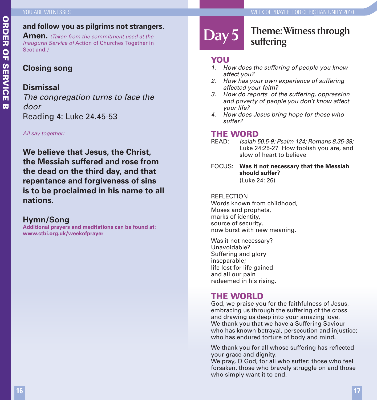#### **and follow you as pilgrims not strangers.**

**Amen.** *(Taken from the commitment used at the Inaugural Service of* Action of Churches Together in Scotland*.)*

#### **Closing song**

#### **Dismissal**

*The congregation turns to face the door*  Reading 4: Luke 24.45-53

*All say together:*

**We believe that Jesus, the Christ, the Messiah suffered and rose from the dead on the third day, and that repentance and forgiveness of sins is to be proclaimed in his name to all nations.**

#### **Hymn/Song**

**Additional prayers and meditations can be found at: www.ctbi.org.uk/weekofprayer**

## **Day 5**

#### **Theme: Witness through suffering**

#### **YOU**

- *1. How does the suffering of people you know affect you?*
- *2. How has your own experience of suffering affected your faith?*
- *3. How do reports of the suffering, oppression and poverty of people you don't know affect your life?*
- *4. How does Jesus bring hope for those who suffer?*

## **THE WORD**<br>READ: Isaiah!

- READ: *Isaiah 50.5-9; Psalm 124; Romans 8.35-39;*  Luke 24:25-27 How foolish you are, and slow of heart to believe
- FOCUS: **Was it not necessary that the Messiah should suffer?**  (Luke 24: 26)

#### REFLECTION

Words known from childhood, Moses and prophets, marks of identity, source of security, now burst with new meaning.

Was it not necessary? Unavoidable? Suffering and glory inseparable; life lost for life gained and all our pain redeemed in his rising.

#### THE WORLD

God, we praise you for the faithfulness of Jesus, embracing us through the suffering of the cross and drawing us deep into your amazing love. We thank you that we have a Suffering Saviour who has known betrayal, persecution and injustice; who has endured torture of body and mind.

We thank you for all whose suffering has reflected your grace and dignity.

We pray, O God, for all who suffer: those who feel forsaken, those who bravely struggle on and those who simply want it to end.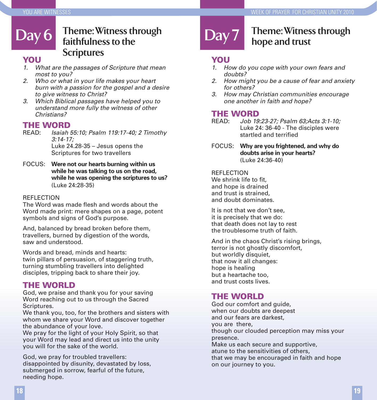#### Day 6 **Theme: Witness through Day 7 faithfulness to the Scriptures**

#### **YOU**

- *1. What are the passages of Scripture that mean most to you?*
- *2. Who or what in your life makes your heart burn with a passion for the gospel and a desire to give witness to Christ?*
- *3. Which Biblical passages have helped you to understand more fully the witness of other Christians?*

## **THE WORD**<br>READ: Isaiah

- READ: *Isaiah 55:10; Psalm 119:17-40; 2 Timothy 3:14-17;*  Luke 24.28-35 – Jesus opens the Scriptures for two travellers
- FOCUS: **Were not our hearts burning within us while he was talking to us on the road, while he was opening the scriptures to us?** (Luke 24:28-35)

#### REFLECTION

The Word was made flesh and words about the Word made print: mere shapes on a page, potent symbols and signs of God's purpose.

And, balanced by bread broken before them, travellers, burned by digestion of the words, saw and understood.

Words and bread, minds and hearts: twin pillars of persuasion, of staggering truth, turning stumbling travellers into delighted disciples, tripping back to share their joy.

#### THE WORLD

God, we praise and thank you for your saving Word reaching out to us through the Sacred Scriptures.

We thank you, too, for the brothers and sisters with whom we share your Word and discover together the abundance of your love.

We pray for the light of your Holy Spirit, so that your Word may lead and direct us into the unity you will for the sake of the world.

God, we pray for troubled travellers: disappointed by disunity, devastated by loss, submerged in sorrow, fearful of the future, needing hope.

### **Theme: Witness through hope and trust**

#### **YOU**

- *1. How do you cope with your own fears and doubts?*
- *2. How might you be a cause of fear and anxiety for others?*
- *3. How may Christian communities encourage one another in faith and hope?*

## **THE WORD**<br>READ: Job 19

- READ: *Job 19:23-27; Psalm 63;Acts 3:1-10;* Luke 24: 36-40 - The disciples were startled and terrified
- FOCUS: **Why are you frightened, and why do doubts arise in your hearts?** (Luke 24:36-40)

**REFLECTION** We shrink life to fit, and hope is drained and trust is strained, and doubt dominates.

It is not that we don't see, it is precisely that we do: that death does not lay to rest the troublesome truth of faith.

And in the chaos Christ's rising brings, terror is not ghostly discomfort, but worldly disquiet, that now it all changes: hope is healing but a heartache too, and trust costs lives.

#### THE WORLD

God our comfort and guide, when our doubts are deepest and our fears are darkest, you are there, though our clouded perception may miss your presence. Make us each secure and supportive, atune to the sensitivities of others, that we may be encouraged in faith and hope on our journey to you.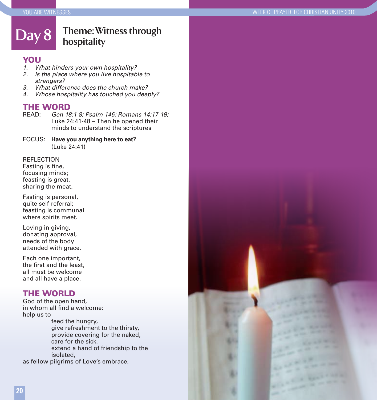#### **Day 8 Theme: Witness through hospitality**

## YOU<sub>1</sub>

- *1. What hinders your own hospitality?*
- *2. Is the place where you live hospitable to strangers?*
- *3. What difference does the church make?*
- *4. Whose hospitality has touched you deeply?*

## **THE WORD**<br>READ: **Gen** 18

- Gen 18:1-8; Psalm 146; Romans 14:17-19; Luke 24:41-48 – Then he opened their minds to understand the scriptures
- FOCUS: **Have you anything here to eat?** (Luke 24:41)

#### REFLECTION

Fasting is fine, focusing minds; feasting is great, sharing the meat.

Fasting is personal, quite self-referral; feasting is communal where spirits meet.

Loving in giving, donating approval, needs of the body attended with grace.

Each one important, the first and the least, all must be welcome and all have a place.

#### THE WORLD

God of the open hand, in whom all find a welcome: help us to

feed the hungry, give refreshment to the thirsty, provide covering for the naked, care for the sick, extend a hand of friendship to the isolated, as fellow pilgrims of Love's embrace.